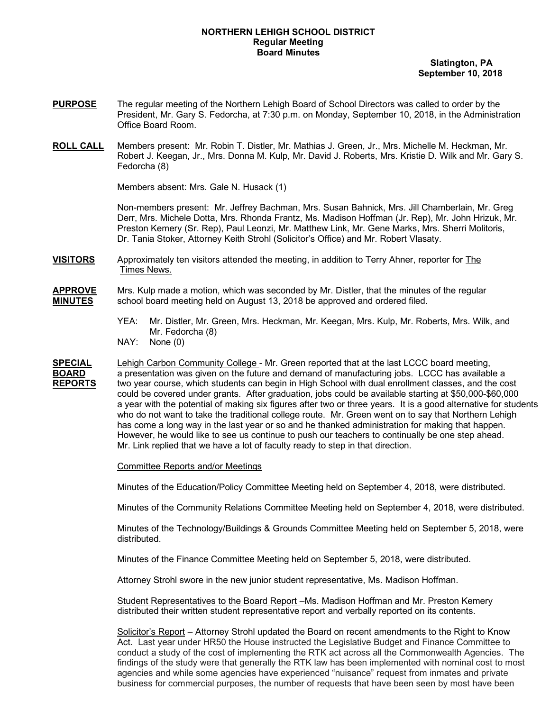## **NORTHERN LEHIGH SCHOOL DISTRICT Regular Meeting Board Minutes**

 **Slatington, PA September 10, 2018**

- **PURPOSE** The regular meeting of the Northern Lehigh Board of School Directors was called to order by the President, Mr. Gary S. Fedorcha, at 7:30 p.m. on Monday, September 10, 2018, in the Administration Office Board Room.
- **ROLL CALL** Members present: Mr. Robin T. Distler, Mr. Mathias J. Green, Jr., Mrs. Michelle M. Heckman, Mr. Robert J. Keegan, Jr., Mrs. Donna M. Kulp, Mr. David J. Roberts, Mrs. Kristie D. Wilk and Mr. Gary S. Fedorcha (8)

Members absent: Mrs. Gale N. Husack (1)

Non-members present: Mr. Jeffrey Bachman, Mrs. Susan Bahnick, Mrs. Jill Chamberlain, Mr. Greg Derr, Mrs. Michele Dotta, Mrs. Rhonda Frantz, Ms. Madison Hoffman (Jr. Rep), Mr. John Hrizuk, Mr. Preston Kemery (Sr. Rep), Paul Leonzi, Mr. Matthew Link, Mr. Gene Marks, Mrs. Sherri Molitoris, Dr. Tania Stoker, Attorney Keith Strohl (Solicitor's Office) and Mr. Robert Vlasaty.

**VISITORS** Approximately ten visitors attended the meeting, in addition to Terry Ahner, reporter for The Times News.

**APPROVE** Mrs. Kulp made a motion, which was seconded by Mr. Distler, that the minutes of the regular **MINUTES** school board meeting held on August 13, 2018 be approved and ordered filed.

- YEA: Mr. Distler, Mr. Green, Mrs. Heckman, Mr. Keegan, Mrs. Kulp, Mr. Roberts, Mrs. Wilk, and Mr. Fedorcha (8)
- NAY: None (0)

**SPECIAL** Lehigh Carbon Community College - Mr. Green reported that at the last LCCC board meeting, **BOARD** a presentation was given on the future and demand of manufacturing jobs. LCCC has available a **REPORTS** two year course, which students can begin in High School with dual enrollment classes, and the cost could be covered under grants. After graduation, jobs could be available starting at \$50,000-\$60,000 a year with the potential of making six figures after two or three years. It is a good alternative for students who do not want to take the traditional college route. Mr. Green went on to say that Northern Lehigh has come a long way in the last year or so and he thanked administration for making that happen. However, he would like to see us continue to push our teachers to continually be one step ahead. Mr. Link replied that we have a lot of faculty ready to step in that direction.

Committee Reports and/or Meetings

Minutes of the Education/Policy Committee Meeting held on September 4, 2018, were distributed.

Minutes of the Community Relations Committee Meeting held on September 4, 2018, were distributed.

Minutes of the Technology/Buildings & Grounds Committee Meeting held on September 5, 2018, were distributed.

Minutes of the Finance Committee Meeting held on September 5, 2018, were distributed.

Attorney Strohl swore in the new junior student representative, Ms. Madison Hoffman.

Student Representatives to the Board Report - Ms. Madison Hoffman and Mr. Preston Kemery distributed their written student representative report and verbally reported on its contents.

Solicitor's Report – Attorney Strohl updated the Board on recent amendments to the Right to Know Act. Last year under HR50 the House instructed the Legislative Budget and Finance Committee to conduct a study of the cost of implementing the RTK act across all the Commonwealth Agencies. The findings of the study were that generally the RTK law has been implemented with nominal cost to most agencies and while some agencies have experienced "nuisance" request from inmates and private business for commercial purposes, the number of requests that have been seen by most have been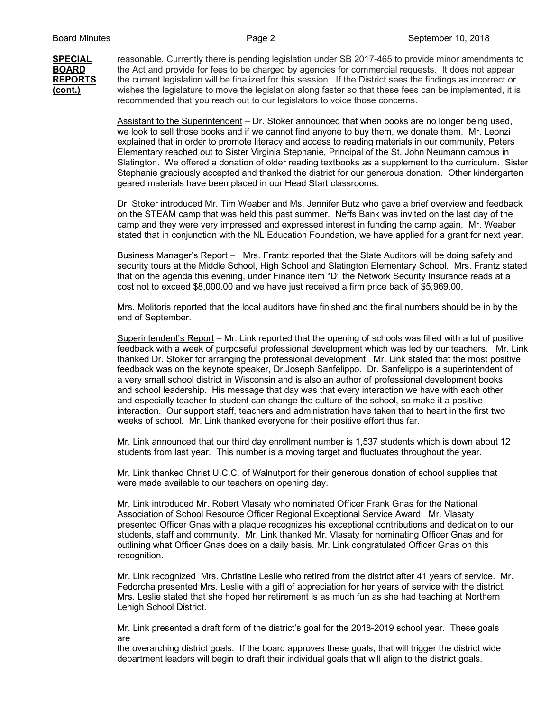**SPECIAL** reasonable. Currently there is pending legislation under SB 2017-465 to provide minor amendments to **BOARD** the Act and provide for fees to be charged by agencies for commercial requests. It does not appear **REPORTS** the current legislation will be finalized for this session. If the District sees the findings as incorrect or **(cont.)** wishes the legislature to move the legislation along faster so that these fees can be implemented, it is recommended that you reach out to our legislators to voice those concerns.

> Assistant to the Superintendent – Dr. Stoker announced that when books are no longer being used, we look to sell those books and if we cannot find anyone to buy them, we donate them. Mr. Leonzi explained that in order to promote literacy and access to reading materials in our community, Peters Elementary reached out to Sister Virginia Stephanie, Principal of the St. John Neumann campus in Slatington. We offered a donation of older reading textbooks as a supplement to the curriculum. Sister Stephanie graciously accepted and thanked the district for our generous donation. Other kindergarten geared materials have been placed in our Head Start classrooms.

Dr. Stoker introduced Mr. Tim Weaber and Ms. Jennifer Butz who gave a brief overview and feedback on the STEAM camp that was held this past summer. Neffs Bank was invited on the last day of the camp and they were very impressed and expressed interest in funding the camp again. Mr. Weaber stated that in conjunction with the NL Education Foundation, we have applied for a grant for next year.

Business Manager's Report – Mrs. Frantz reported that the State Auditors will be doing safety and security tours at the Middle School, High School and Slatington Elementary School. Mrs. Frantz stated that on the agenda this evening, under Finance item "D" the Network Security Insurance reads at a cost not to exceed \$8,000.00 and we have just received a firm price back of \$5,969.00.

Mrs. Molitoris reported that the local auditors have finished and the final numbers should be in by the end of September.

Superintendent's Report – Mr. Link reported that the opening of schools was filled with a lot of positive feedback with a week of purposeful professional development which was led by our teachers. Mr. Link thanked Dr. Stoker for arranging the professional development. Mr. Link stated that the most positive feedback was on the keynote speaker, Dr.Joseph Sanfelippo. Dr. Sanfelippo is a superintendent of a very small school district in Wisconsin and is also an author of professional development books and school leadership. His message that day was that every interaction we have with each other and especially teacher to student can change the culture of the school, so make it a positive interaction. Our support staff, teachers and administration have taken that to heart in the first two weeks of school. Mr. Link thanked everyone for their positive effort thus far.

Mr. Link announced that our third day enrollment number is 1,537 students which is down about 12 students from last year. This number is a moving target and fluctuates throughout the year.

Mr. Link thanked Christ U.C.C. of Walnutport for their generous donation of school supplies that were made available to our teachers on opening day.

Mr. Link introduced Mr. Robert Vlasaty who nominated Officer Frank Gnas for the National Association of School Resource Officer Regional Exceptional Service Award. Mr. Vlasaty presented Officer Gnas with a plaque recognizes his exceptional contributions and dedication to our students, staff and community. Mr. Link thanked Mr. Vlasaty for nominating Officer Gnas and for outlining what Officer Gnas does on a daily basis. Mr. Link congratulated Officer Gnas on this recognition.

Mr. Link recognized Mrs. Christine Leslie who retired from the district after 41 years of service. Mr. Fedorcha presented Mrs. Leslie with a gift of appreciation for her years of service with the district. Mrs. Leslie stated that she hoped her retirement is as much fun as she had teaching at Northern Lehigh School District.

Mr. Link presented a draft form of the district's goal for the 2018-2019 school year. These goals are

the overarching district goals. If the board approves these goals, that will trigger the district wide department leaders will begin to draft their individual goals that will align to the district goals.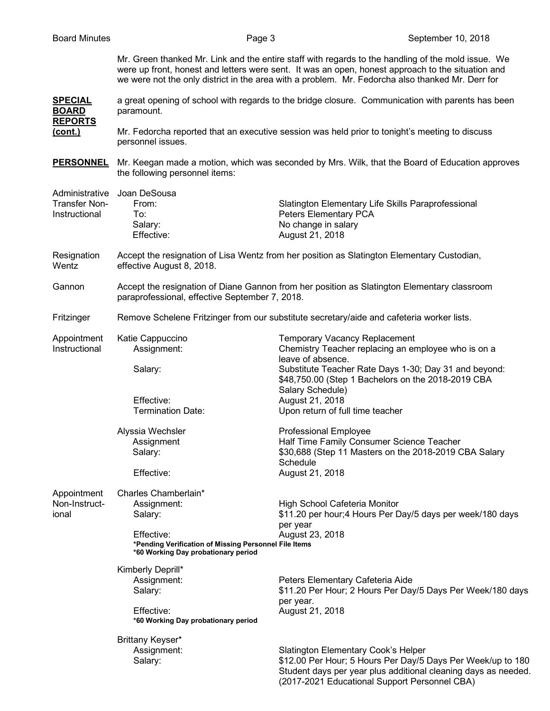Mr. Green thanked Mr. Link and the entire staff with regards to the handling of the mold issue. We were up front, honest and letters were sent. It was an open, honest approach to the situation and we were not the only district in the area with a problem. Mr. Fedorcha also thanked Mr. Derr for

**SPECIAL** a great opening of school with regards to the bridge closure. Communication with parents has been **BOARD** paramount. **REPORTS**

**(cont.)** Mr. Fedorcha reported that an executive session was held prior to tonight's meeting to discuss personnel issues.

**PERSONNEL** Mr. Keegan made a motion, which was seconded by Mrs. Wilk, that the Board of Education approves the following personnel items:

|                                                         | the following bet some remis.                                                                                                                                |                                                                                                                                                                                                                                 |  |
|---------------------------------------------------------|--------------------------------------------------------------------------------------------------------------------------------------------------------------|---------------------------------------------------------------------------------------------------------------------------------------------------------------------------------------------------------------------------------|--|
| Administrative<br><b>Transfer Non-</b><br>Instructional | Joan DeSousa<br>From:<br>To:<br>Salary:<br>Effective:                                                                                                        | Slatington Elementary Life Skills Paraprofessional<br>Peters Elementary PCA<br>No change in salary<br>August 21, 2018                                                                                                           |  |
| Resignation<br>Wentz                                    | Accept the resignation of Lisa Wentz from her position as Slatington Elementary Custodian,<br>effective August 8, 2018.                                      |                                                                                                                                                                                                                                 |  |
| Gannon                                                  | Accept the resignation of Diane Gannon from her position as Slatington Elementary classroom<br>paraprofessional, effective September 7, 2018.                |                                                                                                                                                                                                                                 |  |
| Fritzinger                                              | Remove Schelene Fritzinger from our substitute secretary/aide and cafeteria worker lists.                                                                    |                                                                                                                                                                                                                                 |  |
| Appointment<br>Instructional                            | Katie Cappuccino<br>Assignment:<br>Salary:                                                                                                                   | <b>Temporary Vacancy Replacement</b><br>Chemistry Teacher replacing an employee who is on a<br>leave of absence.<br>Substitute Teacher Rate Days 1-30; Day 31 and beyond:<br>\$48,750.00 (Step 1 Bachelors on the 2018-2019 CBA |  |
|                                                         | Effective:<br><b>Termination Date:</b>                                                                                                                       | Salary Schedule)<br>August 21, 2018<br>Upon return of full time teacher                                                                                                                                                         |  |
|                                                         | Alyssia Wechsler<br>Assignment<br>Salary:<br>Effective:                                                                                                      | <b>Professional Employee</b><br>Half Time Family Consumer Science Teacher<br>\$30,688 (Step 11 Masters on the 2018-2019 CBA Salary<br>Schedule<br>August 21, 2018                                                               |  |
| Appointment<br>Non-Instruct-<br>ional                   | Charles Chamberlain*<br>Assignment:<br>Salary:<br>Effective:<br>*Pending Verification of Missing Personnel File Items<br>*60 Working Day probationary period | High School Cafeteria Monitor<br>\$11.20 per hour;4 Hours Per Day/5 days per week/180 days<br>per year<br>August 23, 2018                                                                                                       |  |
|                                                         | Kimberly Deprill*<br>Assignment:<br>Salary:<br>Effective:<br>*60 Working Day probationary period                                                             | Peters Elementary Cafeteria Aide<br>\$11.20 Per Hour; 2 Hours Per Day/5 Days Per Week/180 days<br>per year.<br>August 21, 2018                                                                                                  |  |
|                                                         | Brittany Keyser*<br>Assignment:<br>Salary:                                                                                                                   | <b>Slatington Elementary Cook's Helper</b><br>\$12.00 Per Hour; 5 Hours Per Day/5 Days Per Week/up to 180<br>Student days per year plus additional cleaning days as needed.<br>(2017-2021 Educational Support Personnel CBA)    |  |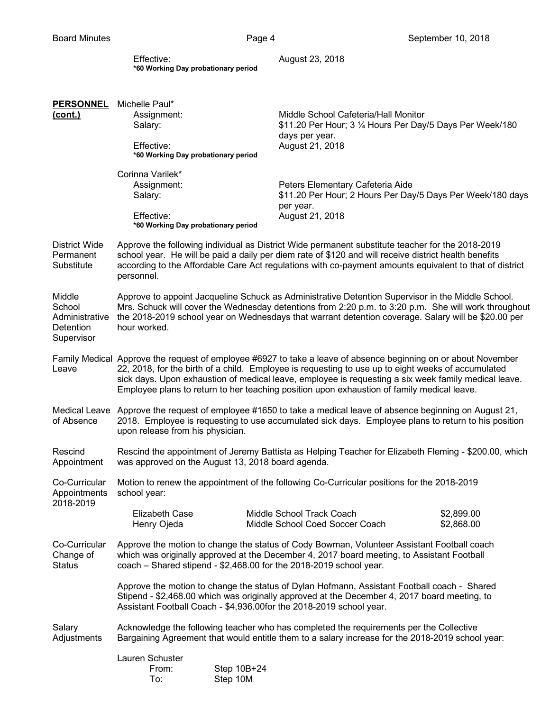| Effective:                          |  |
|-------------------------------------|--|
| *60 Working Day probationary period |  |

August 23, 2018

| <b>PERSONNEL</b>                                              | Michelle Paul*                                                                                                                                                                                                                                                                                                                                                                                                             |                         |                                                                                                   |                          |  |
|---------------------------------------------------------------|----------------------------------------------------------------------------------------------------------------------------------------------------------------------------------------------------------------------------------------------------------------------------------------------------------------------------------------------------------------------------------------------------------------------------|-------------------------|---------------------------------------------------------------------------------------------------|--------------------------|--|
| (cont.)                                                       | Assignment:<br>Salary:                                                                                                                                                                                                                                                                                                                                                                                                     |                         | Middle School Cafeteria/Hall Monitor<br>\$11.20 Per Hour; 3 1/4 Hours Per Day/5 Days Per Week/180 |                          |  |
|                                                               | Effective:<br>*60 Working Day probationary period                                                                                                                                                                                                                                                                                                                                                                          |                         | days per year.<br>August 21, 2018                                                                 |                          |  |
|                                                               | Corinna Varilek*<br>Assignment:<br>Salary:<br>Effective:<br>*60 Working Day probationary period                                                                                                                                                                                                                                                                                                                            |                         | Peters Elementary Cafeteria Aide<br>\$11.20 Per Hour; 2 Hours Per Day/5 Days Per Week/180 days    |                          |  |
|                                                               |                                                                                                                                                                                                                                                                                                                                                                                                                            |                         | per year.<br>August 21, 2018                                                                      |                          |  |
| District Wide<br>Permanent<br>Substitute                      | Approve the following individual as District Wide permanent substitute teacher for the 2018-2019<br>school year. He will be paid a daily per diem rate of \$120 and will receive district health benefits<br>according to the Affordable Care Act regulations with co-payment amounts equivalent to that of district<br>personnel.                                                                                         |                         |                                                                                                   |                          |  |
| Middle<br>School<br>Administrative<br>Detention<br>Supervisor | Approve to appoint Jacqueline Schuck as Administrative Detention Supervisor in the Middle School.<br>Mrs. Schuck will cover the Wednesday detentions from 2:20 p.m. to 3:20 p.m. She will work throughout<br>the 2018-2019 school year on Wednesdays that warrant detention coverage. Salary will be \$20.00 per<br>hour worked.                                                                                           |                         |                                                                                                   |                          |  |
| Leave                                                         | Family Medical Approve the request of employee #6927 to take a leave of absence beginning on or about November<br>22, 2018, for the birth of a child. Employee is requesting to use up to eight weeks of accumulated<br>sick days. Upon exhaustion of medical leave, employee is requesting a six week family medical leave.<br>Employee plans to return to her teaching position upon exhaustion of family medical leave. |                         |                                                                                                   |                          |  |
| of Absence                                                    | Medical Leave Approve the request of employee #1650 to take a medical leave of absence beginning on August 21,<br>2018. Employee is requesting to use accumulated sick days. Employee plans to return to his position<br>upon release from his physician.                                                                                                                                                                  |                         |                                                                                                   |                          |  |
| Rescind<br>Appointment                                        | Rescind the appointment of Jeremy Battista as Helping Teacher for Elizabeth Fleming - \$200.00, which<br>was approved on the August 13, 2018 board agenda.                                                                                                                                                                                                                                                                 |                         |                                                                                                   |                          |  |
| Co-Curricular<br>Appointments<br>2018-2019                    | Motion to renew the appointment of the following Co-Curricular positions for the 2018-2019<br>school year:                                                                                                                                                                                                                                                                                                                 |                         |                                                                                                   |                          |  |
|                                                               | <b>Elizabeth Case</b><br>Henry Ojeda                                                                                                                                                                                                                                                                                                                                                                                       |                         | Middle School Track Coach<br>Middle School Coed Soccer Coach                                      | \$2,899.00<br>\$2,868.00 |  |
| Co-Curricular<br>Change of<br><b>Status</b>                   | Approve the motion to change the status of Cody Bowman, Volunteer Assistant Football coach<br>which was originally approved at the December 4, 2017 board meeting, to Assistant Football<br>coach - Shared stipend - \$2,468.00 for the 2018-2019 school year.                                                                                                                                                             |                         |                                                                                                   |                          |  |
|                                                               | Approve the motion to change the status of Dylan Hofmann, Assistant Football coach - Shared<br>Stipend - \$2,468.00 which was originally approved at the December 4, 2017 board meeting, to<br>Assistant Football Coach - \$4,936.00for the 2018-2019 school year.                                                                                                                                                         |                         |                                                                                                   |                          |  |
| Salary<br>Adjustments                                         | Acknowledge the following teacher who has completed the requirements per the Collective<br>Bargaining Agreement that would entitle them to a salary increase for the 2018-2019 school year:                                                                                                                                                                                                                                |                         |                                                                                                   |                          |  |
|                                                               | Lauren Schuster<br>From:<br>To:                                                                                                                                                                                                                                                                                                                                                                                            | Step 10B+24<br>Step 10M |                                                                                                   |                          |  |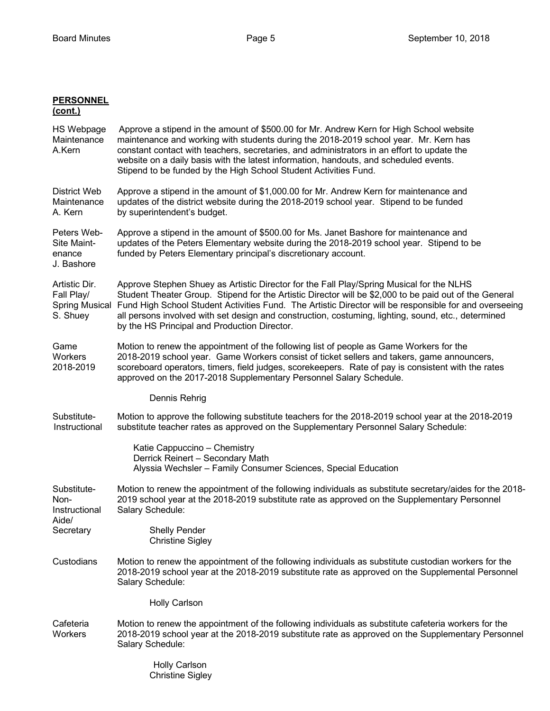| <b>PERSONNEL</b><br><u>(cont.)</u>                               |                                                                                                                                                                                                                                                                                                                                                                                                                                                                     |
|------------------------------------------------------------------|---------------------------------------------------------------------------------------------------------------------------------------------------------------------------------------------------------------------------------------------------------------------------------------------------------------------------------------------------------------------------------------------------------------------------------------------------------------------|
| HS Webpage<br>Maintenance<br>A.Kern                              | Approve a stipend in the amount of \$500.00 for Mr. Andrew Kern for High School website<br>maintenance and working with students during the 2018-2019 school year. Mr. Kern has<br>constant contact with teachers, secretaries, and administrators in an effort to update the<br>website on a daily basis with the latest information, handouts, and scheduled events.<br>Stipend to be funded by the High School Student Activities Fund.                          |
| <b>District Web</b><br>Maintenance<br>A. Kern                    | Approve a stipend in the amount of \$1,000.00 for Mr. Andrew Kern for maintenance and<br>updates of the district website during the 2018-2019 school year. Stipend to be funded<br>by superintendent's budget.                                                                                                                                                                                                                                                      |
| Peters Web-<br>Site Maint-<br>enance<br>J. Bashore               | Approve a stipend in the amount of \$500.00 for Ms. Janet Bashore for maintenance and<br>updates of the Peters Elementary website during the 2018-2019 school year. Stipend to be<br>funded by Peters Elementary principal's discretionary account.                                                                                                                                                                                                                 |
| Artistic Dir.<br>Fall Play/<br><b>Spring Musical</b><br>S. Shuey | Approve Stephen Shuey as Artistic Director for the Fall Play/Spring Musical for the NLHS<br>Student Theater Group. Stipend for the Artistic Director will be \$2,000 to be paid out of the General<br>Fund High School Student Activities Fund. The Artistic Director will be responsible for and overseeing<br>all persons involved with set design and construction, costuming, lighting, sound, etc., determined<br>by the HS Principal and Production Director. |
| Game<br>Workers<br>2018-2019                                     | Motion to renew the appointment of the following list of people as Game Workers for the<br>2018-2019 school year. Game Workers consist of ticket sellers and takers, game announcers,<br>scoreboard operators, timers, field judges, scorekeepers. Rate of pay is consistent with the rates<br>approved on the 2017-2018 Supplementary Personnel Salary Schedule.                                                                                                   |
|                                                                  | Dennis Rehrig                                                                                                                                                                                                                                                                                                                                                                                                                                                       |
| Substitute-<br>Instructional                                     | Motion to approve the following substitute teachers for the 2018-2019 school year at the 2018-2019<br>substitute teacher rates as approved on the Supplementary Personnel Salary Schedule:                                                                                                                                                                                                                                                                          |
|                                                                  | Katie Cappuccino - Chemistry<br>Derrick Reinert - Secondary Math<br>Alyssia Wechsler - Family Consumer Sciences, Special Education                                                                                                                                                                                                                                                                                                                                  |
| Substitute-<br>Non-<br>Instructional<br>Aide/                    | Motion to renew the appointment of the following individuals as substitute secretary/aides for the 2018-<br>2019 school year at the 2018-2019 substitute rate as approved on the Supplementary Personnel<br>Salary Schedule:                                                                                                                                                                                                                                        |
| Secretary                                                        | <b>Shelly Pender</b><br><b>Christine Sigley</b>                                                                                                                                                                                                                                                                                                                                                                                                                     |
| Custodians                                                       | Motion to renew the appointment of the following individuals as substitute custodian workers for the<br>2018-2019 school year at the 2018-2019 substitute rate as approved on the Supplemental Personnel<br>Salary Schedule:                                                                                                                                                                                                                                        |
|                                                                  | <b>Holly Carlson</b>                                                                                                                                                                                                                                                                                                                                                                                                                                                |
| Cafeteria<br><b>Workers</b>                                      | Motion to renew the appointment of the following individuals as substitute cafeteria workers for the<br>2018-2019 school year at the 2018-2019 substitute rate as approved on the Supplementary Personnel<br>Salary Schedule:                                                                                                                                                                                                                                       |
|                                                                  | <b>Holly Carlson</b>                                                                                                                                                                                                                                                                                                                                                                                                                                                |

Christine Sigley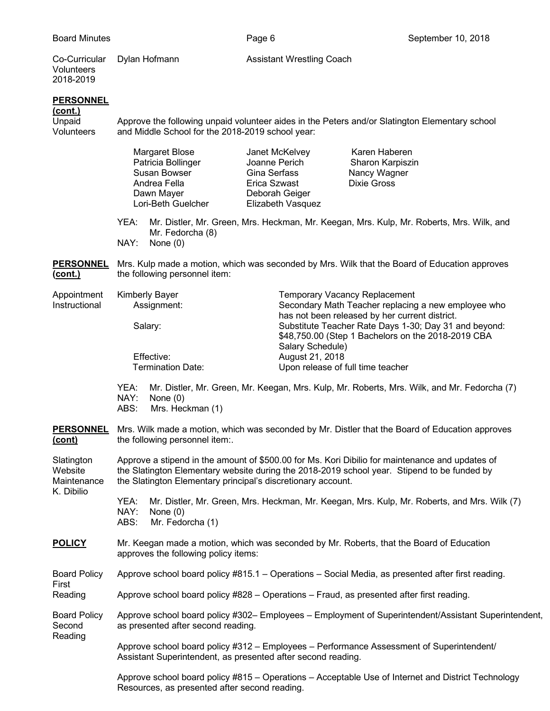Co-Curricular Dylan Hofmann **Assistant Wrestling Coach** Volunteers 2018-2019

## **PERSONNEL**

**(cont.)**

Unpaid Approve the following unpaid volunteer aides in the Peters and/or Slatington Elementary school<br>Volunteers and Middle School for the 2018-2019 school year: and Middle School for the 2018-2019 school year:

|                                                    |                                                                                                                                                                                                                                                                | Margaret Blose<br>Patricia Bollinger<br>Susan Bowser<br>Andrea Fella<br>Dawn Mayer<br>Lori-Beth Guelcher | Janet McKelvey<br>Joanne Perich<br>Gina Serfass<br>Erica Szwast<br>Deborah Geiger<br>Elizabeth Vasquez                                                                                                                                                       | Karen Haberen<br>Sharon Karpiszin<br>Nancy Wagner<br><b>Dixie Gross</b>                     |  |
|----------------------------------------------------|----------------------------------------------------------------------------------------------------------------------------------------------------------------------------------------------------------------------------------------------------------------|----------------------------------------------------------------------------------------------------------|--------------------------------------------------------------------------------------------------------------------------------------------------------------------------------------------------------------------------------------------------------------|---------------------------------------------------------------------------------------------|--|
|                                                    | YEA:<br>NAY:                                                                                                                                                                                                                                                   | Mr. Fedorcha (8)<br>None $(0)$                                                                           |                                                                                                                                                                                                                                                              | Mr. Distler, Mr. Green, Mrs. Heckman, Mr. Keegan, Mrs. Kulp, Mr. Roberts, Mrs. Wilk, and    |  |
| <b>PERSONNEL</b><br><u>(cont.)</u>                 | Mrs. Kulp made a motion, which was seconded by Mrs. Wilk that the Board of Education approves<br>the following personnel item:                                                                                                                                 |                                                                                                          |                                                                                                                                                                                                                                                              |                                                                                             |  |
| Appointment<br>Instructional                       | <b>Kimberly Bayer</b><br>Assignment:<br>Salary:                                                                                                                                                                                                                |                                                                                                          | <b>Temporary Vacancy Replacement</b><br>Secondary Math Teacher replacing a new employee who<br>has not been released by her current district.<br>Substitute Teacher Rate Days 1-30; Day 31 and beyond:<br>\$48,750.00 (Step 1 Bachelors on the 2018-2019 CBA |                                                                                             |  |
|                                                    | Effective:                                                                                                                                                                                                                                                     |                                                                                                          | Salary Schedule)<br>August 21, 2018                                                                                                                                                                                                                          |                                                                                             |  |
|                                                    |                                                                                                                                                                                                                                                                | <b>Termination Date:</b>                                                                                 | Upon release of full time teacher                                                                                                                                                                                                                            |                                                                                             |  |
|                                                    | YEA:<br>NAY:<br>ABS:                                                                                                                                                                                                                                           | None $(0)$<br>Mrs. Heckman (1)                                                                           |                                                                                                                                                                                                                                                              | Mr. Distler, Mr. Green, Mr. Keegan, Mrs. Kulp, Mr. Roberts, Mrs. Wilk, and Mr. Fedorcha (7) |  |
| <b>PERSONNEL</b><br>(cont)                         | Mrs. Wilk made a motion, which was seconded by Mr. Distler that the Board of Education approves<br>the following personnel item:.                                                                                                                              |                                                                                                          |                                                                                                                                                                                                                                                              |                                                                                             |  |
| Slatington<br>Website<br>Maintenance<br>K. Dibilio | Approve a stipend in the amount of \$500.00 for Ms. Kori Dibilio for maintenance and updates of<br>the Slatington Elementary website during the 2018-2019 school year. Stipend to be funded by<br>the Slatington Elementary principal's discretionary account. |                                                                                                          |                                                                                                                                                                                                                                                              |                                                                                             |  |
|                                                    | YEA:<br>Mr. Distler, Mr. Green, Mrs. Heckman, Mr. Keegan, Mrs. Kulp, Mr. Roberts, and Mrs. Wilk (7)<br>NAY:<br>None $(0)$<br>ABS:<br>Mr. Fedorcha (1)                                                                                                          |                                                                                                          |                                                                                                                                                                                                                                                              |                                                                                             |  |
| <b>POLICY</b>                                      | Mr. Keegan made a motion, which was seconded by Mr. Roberts, that the Board of Education<br>approves the following policy items:                                                                                                                               |                                                                                                          |                                                                                                                                                                                                                                                              |                                                                                             |  |
| <b>Board Policy</b>                                | Approve school board policy #815.1 – Operations – Social Media, as presented after first reading.                                                                                                                                                              |                                                                                                          |                                                                                                                                                                                                                                                              |                                                                                             |  |
| First<br>Reading                                   | Approve school board policy #828 – Operations – Fraud, as presented after first reading.                                                                                                                                                                       |                                                                                                          |                                                                                                                                                                                                                                                              |                                                                                             |  |
| <b>Board Policy</b><br>Second                      | Approve school board policy #302- Employees - Employment of Superintendent/Assistant Superintendent,<br>as presented after second reading.                                                                                                                     |                                                                                                          |                                                                                                                                                                                                                                                              |                                                                                             |  |
| Reading                                            | Approve school board policy #312 - Employees - Performance Assessment of Superintendent/<br>Assistant Superintendent, as presented after second reading.                                                                                                       |                                                                                                          |                                                                                                                                                                                                                                                              |                                                                                             |  |

Approve school board policy #815 – Operations – Acceptable Use of Internet and District Technology Resources, as presented after second reading.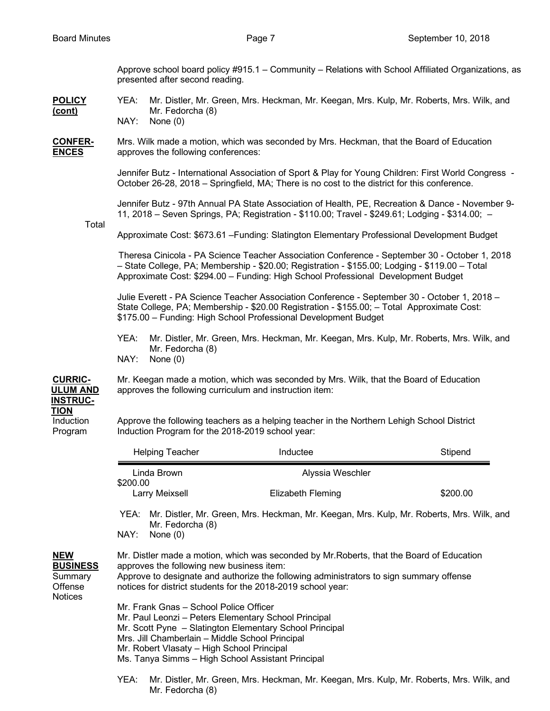Approve school board policy #915.1 – Community – Relations with School Affiliated Organizations, as presented after second reading.

**POLICY** YEA: Mr. Distler, Mr. Green, Mrs. Heckman, Mr. Keegan, Mrs. Kulp, Mr. Roberts, Mrs. Wilk, and **(cont)** Mr. Fedorcha (8) NAY: None (0)

**CONFER-** Mrs. Wilk made a motion, which was seconded by Mrs. Heckman, that the Board of Education **ENCES** approves the following conferences:

> Jennifer Butz - International Association of Sport & Play for Young Children: First World Congress - October 26-28, 2018 – Springfield, MA; There is no cost to the district for this conference.

> Jennifer Butz - 97th Annual PA State Association of Health, PE, Recreation & Dance - November 9- 11, 2018 – Seven Springs, PA; Registration - \$110.00; Travel - \$249.61; Lodging - \$314.00; –

Total

Approximate Cost: \$673.61 –Funding: Slatington Elementary Professional Development Budget

 Theresa Cinicola - PA Science Teacher Association Conference - September 30 - October 1, 2018 – State College, PA; Membership - \$20.00; Registration - \$155.00; Lodging - \$119.00 – Total Approximate Cost: \$294.00 – Funding: High School Professional Development Budget

Julie Everett - PA Science Teacher Association Conference - September 30 - October 1, 2018 – State College, PA; Membership - \$20.00 Registration - \$155.00; – Total Approximate Cost: \$175.00 – Funding: High School Professional Development Budget

YEA: Mr. Distler, Mr. Green, Mrs. Heckman, Mr. Keegan, Mrs. Kulp, Mr. Roberts, Mrs. Wilk, and Mr. Fedorcha (8) NAY: None (0)

**CURRIC-** Mr. Keegan made a motion, which was seconded by Mrs. Wilk, that the Board of Education **ULUM AND** approves the following curriculum and instruction item:

## **INSTRUC-TION**

Induction Approve the following teachers as a helping teacher in the Northern Lehigh School District Program Induction Program for the 2018-2019 school year:

|                                                         |                                                                                                                                                                                                                                                                                                                 | Helping Teacher                                                                                                                                                                                                                                                                                   | Inductee                                                                                 | Stipend  |  |  |
|---------------------------------------------------------|-----------------------------------------------------------------------------------------------------------------------------------------------------------------------------------------------------------------------------------------------------------------------------------------------------------------|---------------------------------------------------------------------------------------------------------------------------------------------------------------------------------------------------------------------------------------------------------------------------------------------------|------------------------------------------------------------------------------------------|----------|--|--|
|                                                         | Linda Brown<br>\$200.00                                                                                                                                                                                                                                                                                         |                                                                                                                                                                                                                                                                                                   | Alyssia Weschler                                                                         |          |  |  |
|                                                         |                                                                                                                                                                                                                                                                                                                 | Larry Meixsell                                                                                                                                                                                                                                                                                    | <b>Elizabeth Fleming</b>                                                                 | \$200.00 |  |  |
|                                                         | YEA:                                                                                                                                                                                                                                                                                                            | Mr. Distler, Mr. Green, Mrs. Heckman, Mr. Keegan, Mrs. Kulp, Mr. Roberts, Mrs. Wilk, and<br>Mr. Fedorcha (8)<br>None $(0)$                                                                                                                                                                        |                                                                                          |          |  |  |
|                                                         | NAY:                                                                                                                                                                                                                                                                                                            |                                                                                                                                                                                                                                                                                                   |                                                                                          |          |  |  |
| NEW<br><b>BUSINESS</b><br>Summary<br>Offense<br>Notices |                                                                                                                                                                                                                                                                                                                 | Mr. Distler made a motion, which was seconded by Mr. Roberts, that the Board of Education<br>approves the following new business item:<br>Approve to designate and authorize the following administrators to sign summary offense<br>notices for district students for the 2018-2019 school year: |                                                                                          |          |  |  |
|                                                         | Mr. Frank Gnas - School Police Officer<br>Mr. Paul Leonzi - Peters Elementary School Principal<br>Mr. Scott Pyne - Slatington Elementary School Principal<br>Mrs. Jill Chamberlain - Middle School Principal<br>Mr. Robert Vlasaty - High School Principal<br>Ms. Tanya Simms – High School Assistant Principal |                                                                                                                                                                                                                                                                                                   |                                                                                          |          |  |  |
|                                                         | YEA:                                                                                                                                                                                                                                                                                                            | Mr. Fedorcha (8)                                                                                                                                                                                                                                                                                  | Mr. Distler, Mr. Green, Mrs. Heckman, Mr. Keegan, Mrs. Kulp, Mr. Roberts, Mrs. Wilk, and |          |  |  |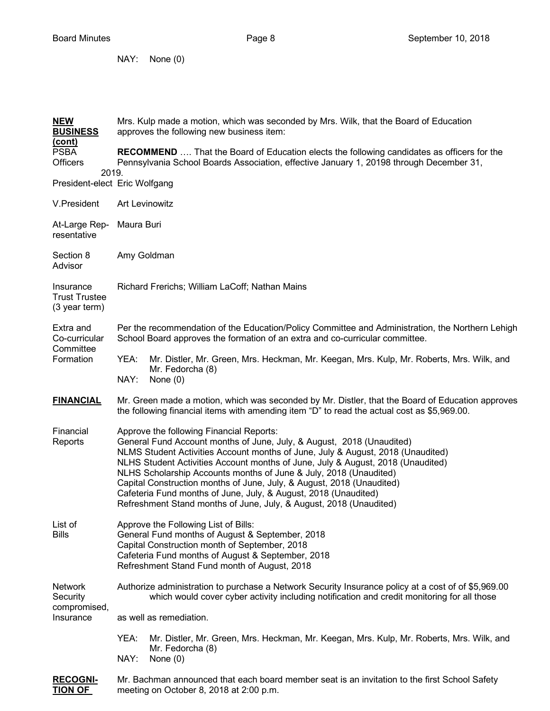NAY: None (0)

| <b>NEW</b><br><b>BUSINESS</b>                            | Mrs. Kulp made a motion, which was seconded by Mrs. Wilk, that the Board of Education<br>approves the following new business item:                                                                                                                                                                                                                                                                                                                                                                                                                                             |  |  |  |  |
|----------------------------------------------------------|--------------------------------------------------------------------------------------------------------------------------------------------------------------------------------------------------------------------------------------------------------------------------------------------------------------------------------------------------------------------------------------------------------------------------------------------------------------------------------------------------------------------------------------------------------------------------------|--|--|--|--|
| <u>(cont)</u><br><b>PSBA</b><br><b>Officers</b><br>2019. | <b>RECOMMEND</b> That the Board of Education elects the following candidates as officers for the<br>Pennsylvania School Boards Association, effective January 1, 20198 through December 31,                                                                                                                                                                                                                                                                                                                                                                                    |  |  |  |  |
| President-elect Eric Wolfgang                            |                                                                                                                                                                                                                                                                                                                                                                                                                                                                                                                                                                                |  |  |  |  |
| V.President                                              | <b>Art Levinowitz</b>                                                                                                                                                                                                                                                                                                                                                                                                                                                                                                                                                          |  |  |  |  |
| At-Large Rep-<br>resentative                             | Maura Buri                                                                                                                                                                                                                                                                                                                                                                                                                                                                                                                                                                     |  |  |  |  |
| Section 8<br>Advisor                                     | Amy Goldman                                                                                                                                                                                                                                                                                                                                                                                                                                                                                                                                                                    |  |  |  |  |
| Insurance<br><b>Trust Trustee</b><br>(3 year term)       | Richard Frerichs; William LaCoff; Nathan Mains                                                                                                                                                                                                                                                                                                                                                                                                                                                                                                                                 |  |  |  |  |
| Extra and<br>Co-curricular<br>Committee                  | Per the recommendation of the Education/Policy Committee and Administration, the Northern Lehigh<br>School Board approves the formation of an extra and co-curricular committee.                                                                                                                                                                                                                                                                                                                                                                                               |  |  |  |  |
| Formation                                                | YEA:<br>Mr. Distler, Mr. Green, Mrs. Heckman, Mr. Keegan, Mrs. Kulp, Mr. Roberts, Mrs. Wilk, and<br>Mr. Fedorcha (8)<br>NAY:<br>None $(0)$                                                                                                                                                                                                                                                                                                                                                                                                                                     |  |  |  |  |
| <b>FINANCIAL</b>                                         | Mr. Green made a motion, which was seconded by Mr. Distler, that the Board of Education approves<br>the following financial items with amending item "D" to read the actual cost as \$5,969.00.                                                                                                                                                                                                                                                                                                                                                                                |  |  |  |  |
| Financial<br>Reports                                     | Approve the following Financial Reports:<br>General Fund Account months of June, July, & August, 2018 (Unaudited)<br>NLMS Student Activities Account months of June, July & August, 2018 (Unaudited)<br>NLHS Student Activities Account months of June, July & August, 2018 (Unaudited)<br>NLHS Scholarship Accounts months of June & July, 2018 (Unaudited)<br>Capital Construction months of June, July, & August, 2018 (Unaudited)<br>Cafeteria Fund months of June, July, & August, 2018 (Unaudited)<br>Refreshment Stand months of June, July, & August, 2018 (Unaudited) |  |  |  |  |
| List of<br><b>Bills</b>                                  | Approve the Following List of Bills:<br>General Fund months of August & September, 2018<br>Capital Construction month of September, 2018<br>Cafeteria Fund months of August & September, 2018<br>Refreshment Stand Fund month of August, 2018                                                                                                                                                                                                                                                                                                                                  |  |  |  |  |
| <b>Network</b><br>Security<br>compromised,<br>Insurance  | Authorize administration to purchase a Network Security Insurance policy at a cost of of \$5,969.00<br>which would cover cyber activity including notification and credit monitoring for all those                                                                                                                                                                                                                                                                                                                                                                             |  |  |  |  |
|                                                          | as well as remediation.                                                                                                                                                                                                                                                                                                                                                                                                                                                                                                                                                        |  |  |  |  |
|                                                          | YEA:<br>Mr. Distler, Mr. Green, Mrs. Heckman, Mr. Keegan, Mrs. Kulp, Mr. Roberts, Mrs. Wilk, and<br>Mr. Fedorcha (8)<br>NAY:<br>None $(0)$                                                                                                                                                                                                                                                                                                                                                                                                                                     |  |  |  |  |
| <b>RECOGNI-</b><br><b>TION OF</b>                        | Mr. Bachman announced that each board member seat is an invitation to the first School Safety<br>meeting on October 8, 2018 at 2:00 p.m.                                                                                                                                                                                                                                                                                                                                                                                                                                       |  |  |  |  |